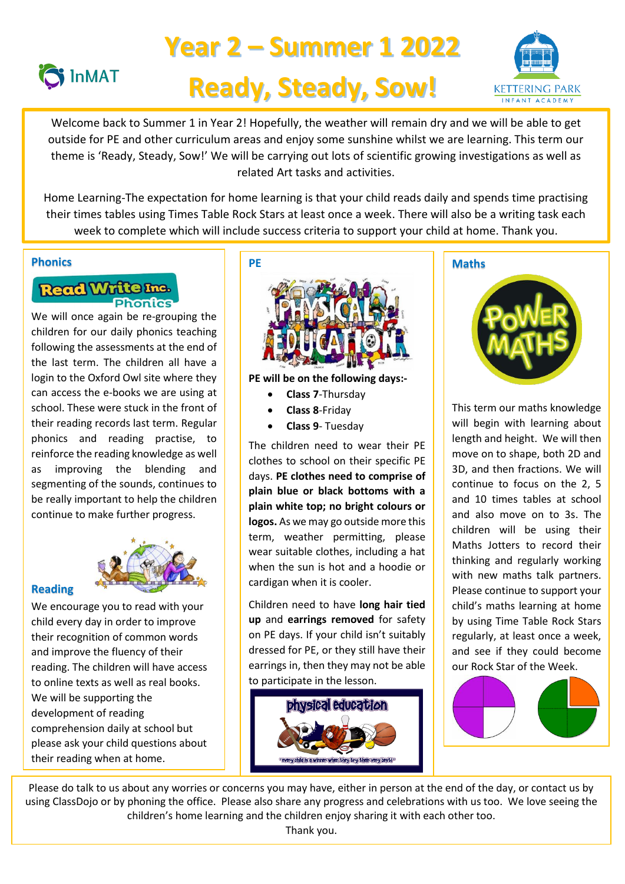

# **Year 2 – Summer 1 2022 Ready, Steady, Sow!**



 theme is 'Ready, Steady, Sow!' We will be carrying out lots of scientific growing investigations as well as related Art tasks and activities. Welcome back to Summer 1 in Year 2! Hopefully, the weather will remain dry and we will be able to get outside for PE and other curriculum areas and enjoy some sunshine whilst we are learning. This term our

 Home Learning-The expectation for home learning is that your child reads daily and spends time practising their times tables using Times Table Rock Stars at least once a week. There will also be a writing task each week to complete which will include success criteria to support your child at home. Thank you.

#### **Phonics**

# Read Write Inc. **Phonics**

We will once again be re-grouping the children for our daily phonics teaching following the assessments at the end of the last term. The children all have a login to the Oxford Owl site where they can access the e-books we are using at school. These were stuck in the front of their reading records last term. Regular phonics and reading practise, to reinforce the reading knowledge as well as improving the blending and segmenting of the sounds, continues to be really important to help the children continue to make further progress.



# **Reading**

We encourage you to read with your child every day in order to improve their recognition of common words and improve the fluency of their reading. The children will have access to online texts as well as real books. We will be supporting the development of reading comprehension daily at school but please ask your child questions about their reading when at home.



**PE will be on the following days:-**

- **Class 7**-Thursday
- **Class 8**-Friday
- **Class 9** Tuesday

The children need to wear their PE clothes to school on their specific PE days. **PE clothes need to comprise of plain blue or black bottoms with a plain white top; no bright colours or logos.** As we may go outside more this term, weather permitting, please wear suitable clothes, including a hat when the sun is hot and a hoodie or cardigan when it is cooler.

Children need to have **long hair tied up** and **earrings removed** for safety on PE days. If your child isn't suitably dressed for PE, or they still have their earrings in, then they may not be able to participate in the lesson.



# **Maths**



This term our maths knowledge will begin with learning about length and height. We will then move on to shape, both 2D and 3D, and then fractions. We will continue to focus on the 2, 5 and 10 times tables at school and also move on to 3s. The children will be using their Maths Jotters to record their thinking and regularly working with new maths talk partners. Please continue to support your child's maths learning at home by using Time Table Rock Stars regularly, at least once a week, and see if they could become our Rock Star of the Week.



Please do talk to us about any worries or concerns you may have, either in person at the end of the day, or contact us by using ClassDojo or by phoning the office. Please also share any progress and celebrations with us too. We love seeing the children's home learning and the children enjoy sharing it with each other too.

Thank you.